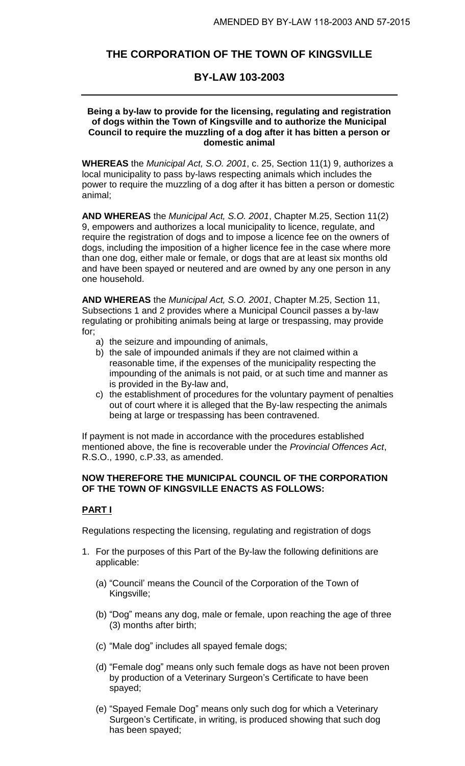# **THE CORPORATION OF THE TOWN OF KINGSVILLE**

## **BY-LAW 103-2003**

### **Being a by-law to provide for the licensing, regulating and registration of dogs within the Town of Kingsville and to authorize the Municipal Council to require the muzzling of a dog after it has bitten a person or domestic animal**

**WHEREAS** the *Municipal Act, S.O. 2001*, c. 25, Section 11(1) 9, authorizes a local municipality to pass by-laws respecting animals which includes the power to require the muzzling of a dog after it has bitten a person or domestic animal;

**AND WHEREAS** the *Municipal Act, S.O. 2001*, Chapter M.25, Section 11(2) 9, empowers and authorizes a local municipality to licence, regulate, and require the registration of dogs and to impose a licence fee on the owners of dogs, including the imposition of a higher licence fee in the case where more than one dog, either male or female, or dogs that are at least six months old and have been spayed or neutered and are owned by any one person in any one household.

**AND WHEREAS** the *Municipal Act, S.O. 2001*, Chapter M.25, Section 11, Subsections 1 and 2 provides where a Municipal Council passes a by-law regulating or prohibiting animals being at large or trespassing, may provide for;

- a) the seizure and impounding of animals,
- b) the sale of impounded animals if they are not claimed within a reasonable time, if the expenses of the municipality respecting the impounding of the animals is not paid, or at such time and manner as is provided in the By-law and,
- c) the establishment of procedures for the voluntary payment of penalties out of court where it is alleged that the By-law respecting the animals being at large or trespassing has been contravened.

If payment is not made in accordance with the procedures established mentioned above, the fine is recoverable under the *Provincial Offences Act*, R.S.O., 1990, c.P.33, as amended.

### **NOW THEREFORE THE MUNICIPAL COUNCIL OF THE CORPORATION OF THE TOWN OF KINGSVILLE ENACTS AS FOLLOWS:**

## **PART I**

Regulations respecting the licensing, regulating and registration of dogs

- 1. For the purposes of this Part of the By-law the following definitions are applicable:
	- (a) "Council' means the Council of the Corporation of the Town of Kingsville;
	- (b) "Dog" means any dog, male or female, upon reaching the age of three (3) months after birth;
	- (c) "Male dog" includes all spayed female dogs;
	- (d) "Female dog" means only such female dogs as have not been proven by production of a Veterinary Surgeon's Certificate to have been spayed;
	- (e) "Spayed Female Dog" means only such dog for which a Veterinary Surgeon's Certificate, in writing, is produced showing that such dog has been spayed;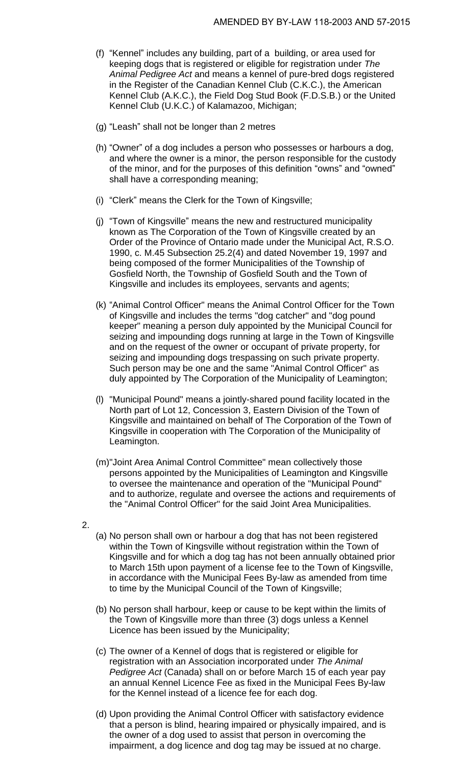- (f) "Kennel" includes any building, part of a building, or area used for keeping dogs that is registered or eligible for registration under *The Animal Pedigree Act* and means a kennel of pure-bred dogs registered in the Register of the Canadian Kennel Club (C.K.C.), the American Kennel Club (A.K.C.), the Field Dog Stud Book (F.D.S.B.) or the United Kennel Club (U.K.C.) of Kalamazoo, Michigan;
- (g) "Leash" shall not be longer than 2 metres
- (h) "Owner" of a dog includes a person who possesses or harbours a dog, and where the owner is a minor, the person responsible for the custody of the minor, and for the purposes of this definition "owns" and "owned" shall have a corresponding meaning;
- (i) "Clerk" means the Clerk for the Town of Kingsville;
- (j) "Town of Kingsville" means the new and restructured municipality known as The Corporation of the Town of Kingsville created by an Order of the Province of Ontario made under the Municipal Act, R.S.O. 1990, c. M.45 Subsection 25.2(4) and dated November 19, 1997 and being composed of the former Municipalities of the Township of Gosfield North, the Township of Gosfield South and the Town of Kingsville and includes its employees, servants and agents;
- (k) "Animal Control Officer" means the Animal Control Officer for the Town of Kingsville and includes the terms "dog catcher" and "dog pound keeper" meaning a person duly appointed by the Municipal Council for seizing and impounding dogs running at large in the Town of Kingsville and on the request of the owner or occupant of private property, for seizing and impounding dogs trespassing on such private property. Such person may be one and the same "Animal Control Officer" as duly appointed by The Corporation of the Municipality of Leamington;
- (l) "Municipal Pound" means a jointly-shared pound facility located in the North part of Lot 12, Concession 3, Eastern Division of the Town of Kingsville and maintained on behalf of The Corporation of the Town of Kingsville in cooperation with The Corporation of the Municipality of Leamington.
- (m)"Joint Area Animal Control Committee" mean collectively those persons appointed by the Municipalities of Leamington and Kingsville to oversee the maintenance and operation of the "Municipal Pound" and to authorize, regulate and oversee the actions and requirements of the "Animal Control Officer" for the said Joint Area Municipalities.
- 2.
- (a) No person shall own or harbour a dog that has not been registered within the Town of Kingsville without registration within the Town of Kingsville and for which a dog tag has not been annually obtained prior to March 15th upon payment of a license fee to the Town of Kingsville, in accordance with the Municipal Fees By-law as amended from time to time by the Municipal Council of the Town of Kingsville;
- (b) No person shall harbour, keep or cause to be kept within the limits of the Town of Kingsville more than three (3) dogs unless a Kennel Licence has been issued by the Municipality;
- (c) The owner of a Kennel of dogs that is registered or eligible for registration with an Association incorporated under *The Animal Pedigree Act* (Canada) shall on or before March 15 of each year pay an annual Kennel Licence Fee as fixed in the Municipal Fees By-law for the Kennel instead of a licence fee for each dog.
- (d) Upon providing the Animal Control Officer with satisfactory evidence that a person is blind, hearing impaired or physically impaired, and is the owner of a dog used to assist that person in overcoming the impairment, a dog licence and dog tag may be issued at no charge.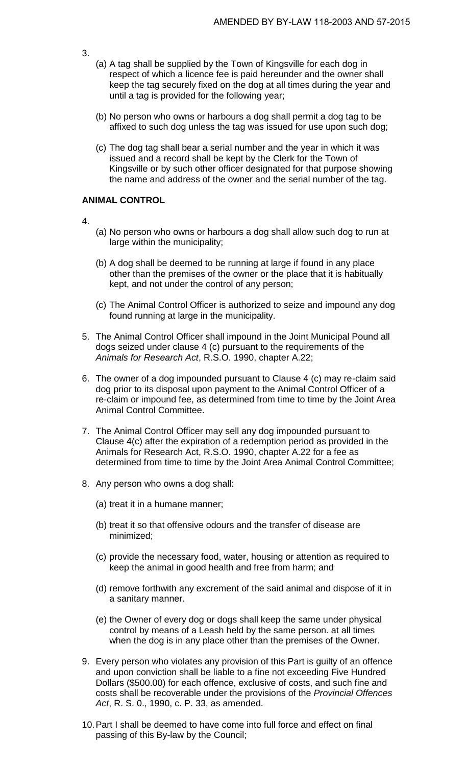- 3.
- (a) A tag shall be supplied by the Town of Kingsville for each dog in respect of which a licence fee is paid hereunder and the owner shall keep the tag securely fixed on the dog at all times during the year and until a tag is provided for the following year;
- (b) No person who owns or harbours a dog shall permit a dog tag to be affixed to such dog unless the tag was issued for use upon such dog;
- (c) The dog tag shall bear a serial number and the year in which it was issued and a record shall be kept by the Clerk for the Town of Kingsville or by such other officer designated for that purpose showing the name and address of the owner and the serial number of the tag.

### **ANIMAL CONTROL**

- 4.
- (a) No person who owns or harbours a dog shall allow such dog to run at large within the municipality;
- (b) A dog shall be deemed to be running at large if found in any place other than the premises of the owner or the place that it is habitually kept, and not under the control of any person;
- (c) The Animal Control Officer is authorized to seize and impound any dog found running at large in the municipality.
- 5. The Animal Control Officer shall impound in the Joint Municipal Pound all dogs seized under clause 4 (c) pursuant to the requirements of the *Animals for Research Act*, R.S.O. 1990, chapter A.22;
- 6. The owner of a dog impounded pursuant to Clause 4 (c) may re-claim said dog prior to its disposal upon payment to the Animal Control Officer of a re-claim or impound fee, as determined from time to time by the Joint Area Animal Control Committee.
- 7. The Animal Control Officer may sell any dog impounded pursuant to Clause 4(c) after the expiration of a redemption period as provided in the Animals for Research Act, R.S.O. 1990, chapter A.22 for a fee as determined from time to time by the Joint Area Animal Control Committee;
- 8. Any person who owns a dog shall:
	- (a) treat it in a humane manner;
	- (b) treat it so that offensive odours and the transfer of disease are minimized;
	- (c) provide the necessary food, water, housing or attention as required to keep the animal in good health and free from harm; and
	- (d) remove forthwith any excrement of the said animal and dispose of it in a sanitary manner.
	- (e) the Owner of every dog or dogs shall keep the same under physical control by means of a Leash held by the same person. at all times when the dog is in any place other than the premises of the Owner.
- 9. Every person who violates any provision of this Part is guilty of an offence and upon conviction shall be liable to a fine not exceeding Five Hundred Dollars (\$500.00) for each offence, exclusive of costs, and such fine and costs shall be recoverable under the provisions of the *Provincial Offences Act*, R. S. 0., 1990, c. P. 33, as amended.
- 10.Part I shall be deemed to have come into full force and effect on final passing of this By-law by the Council;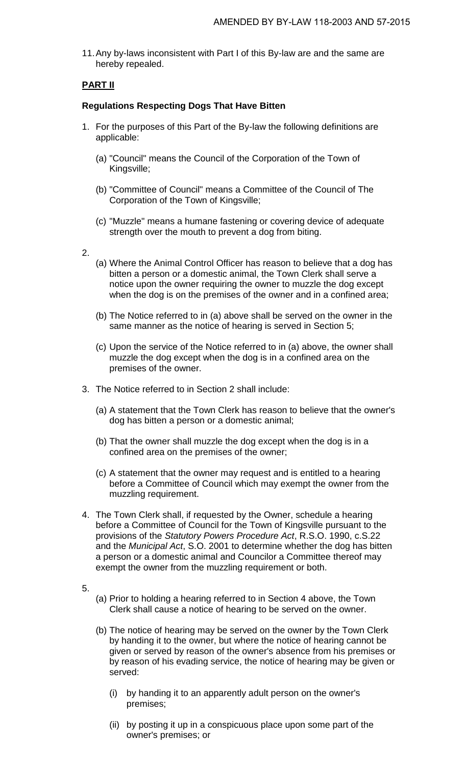11.Any by-laws inconsistent with Part I of this By-law are and the same are hereby repealed.

## **PART II**

## **Regulations Respecting Dogs That Have Bitten**

- 1. For the purposes of this Part of the By-law the following definitions are applicable:
	- (a) "Council" means the Council of the Corporation of the Town of Kingsville;
	- (b) "Committee of Council" means a Committee of the Council of The Corporation of the Town of Kingsville;
	- (c) "Muzzle" means a humane fastening or covering device of adequate strength over the mouth to prevent a dog from biting.
- 2.
- (a) Where the Animal Control Officer has reason to believe that a dog has bitten a person or a domestic animal, the Town Clerk shall serve a notice upon the owner requiring the owner to muzzle the dog except when the dog is on the premises of the owner and in a confined area;
- (b) The Notice referred to in (a) above shall be served on the owner in the same manner as the notice of hearing is served in Section 5;
- (c) Upon the service of the Notice referred to in (a) above, the owner shall muzzle the dog except when the dog is in a confined area on the premises of the owner.
- 3. The Notice referred to in Section 2 shall include:
	- (a) A statement that the Town Clerk has reason to believe that the owner's dog has bitten a person or a domestic animal;
	- (b) That the owner shall muzzle the dog except when the dog is in a confined area on the premises of the owner;
	- (c) A statement that the owner may request and is entitled to a hearing before a Committee of Council which may exempt the owner from the muzzling requirement.
- 4. The Town Clerk shall, if requested by the Owner, schedule a hearing before a Committee of Council for the Town of Kingsville pursuant to the provisions of the *Statutory Powers Procedure Act*, R.S.O. 1990, c.S.22 and the *Municipal Act*, S.O. 2001 to determine whether the dog has bitten a person or a domestic animal and Councilor a Committee thereof may exempt the owner from the muzzling requirement or both.
- 5.
- (a) Prior to holding a hearing referred to in Section 4 above, the Town Clerk shall cause a notice of hearing to be served on the owner.
- (b) The notice of hearing may be served on the owner by the Town Clerk by handing it to the owner, but where the notice of hearing cannot be given or served by reason of the owner's absence from his premises or by reason of his evading service, the notice of hearing may be given or served:
	- (i) by handing it to an apparently adult person on the owner's premises;
	- (ii) by posting it up in a conspicuous place upon some part of the owner's premises; or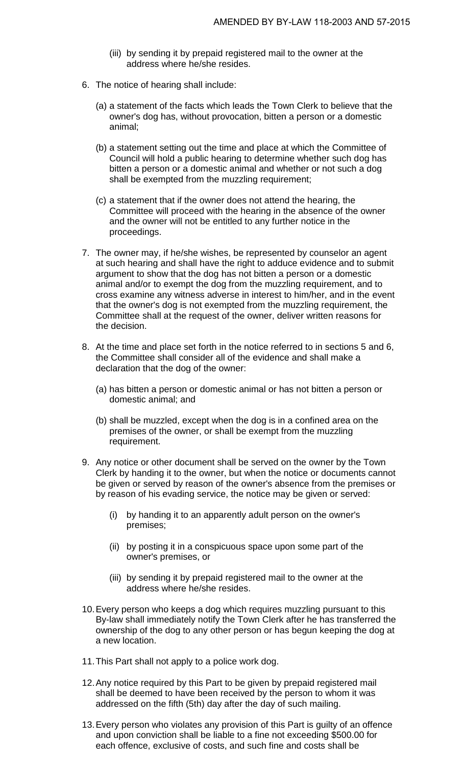- (iii) by sending it by prepaid registered mail to the owner at the address where he/she resides.
- 6. The notice of hearing shall include:
	- (a) a statement of the facts which leads the Town Clerk to believe that the owner's dog has, without provocation, bitten a person or a domestic animal;
	- (b) a statement setting out the time and place at which the Committee of Council will hold a public hearing to determine whether such dog has bitten a person or a domestic animal and whether or not such a dog shall be exempted from the muzzling requirement;
	- (c) a statement that if the owner does not attend the hearing, the Committee will proceed with the hearing in the absence of the owner and the owner will not be entitled to any further notice in the proceedings.
- 7. The owner may, if he/she wishes, be represented by counselor an agent at such hearing and shall have the right to adduce evidence and to submit argument to show that the dog has not bitten a person or a domestic animal and/or to exempt the dog from the muzzling requirement, and to cross examine any witness adverse in interest to him/her, and in the event that the owner's dog is not exempted from the muzzling requirement, the Committee shall at the request of the owner, deliver written reasons for the decision.
- 8. At the time and place set forth in the notice referred to in sections 5 and 6, the Committee shall consider all of the evidence and shall make a declaration that the dog of the owner:
	- (a) has bitten a person or domestic animal or has not bitten a person or domestic animal; and
	- (b) shall be muzzled, except when the dog is in a confined area on the premises of the owner, or shall be exempt from the muzzling requirement.
- 9. Any notice or other document shall be served on the owner by the Town Clerk by handing it to the owner, but when the notice or documents cannot be given or served by reason of the owner's absence from the premises or by reason of his evading service, the notice may be given or served:
	- (i) by handing it to an apparently adult person on the owner's premises;
	- (ii) by posting it in a conspicuous space upon some part of the owner's premises, or
	- (iii) by sending it by prepaid registered mail to the owner at the address where he/she resides.
- 10.Every person who keeps a dog which requires muzzling pursuant to this By-law shall immediately notify the Town Clerk after he has transferred the ownership of the dog to any other person or has begun keeping the dog at a new location.
- 11.This Part shall not apply to a police work dog.
- 12.Any notice required by this Part to be given by prepaid registered mail shall be deemed to have been received by the person to whom it was addressed on the fifth (5th) day after the day of such mailing.
- 13.Every person who violates any provision of this Part is guilty of an offence and upon conviction shall be liable to a fine not exceeding \$500.00 for each offence, exclusive of costs, and such fine and costs shall be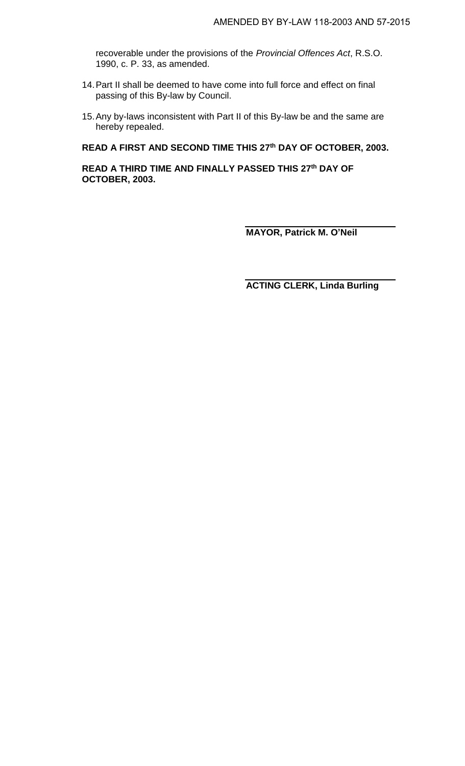recoverable under the provisions of the *Provincial Offences Act*, R.S.O. 1990, c. P. 33, as amended.

- 14.Part II shall be deemed to have come into full force and effect on final passing of this By-law by Council.
- 15.Any by-laws inconsistent with Part II of this By-law be and the same are hereby repealed.

#### **READ A FIRST AND SECOND TIME THIS 27 th DAY OF OCTOBER, 2003.**

**READ A THIRD TIME AND FINALLY PASSED THIS 27 th DAY OF OCTOBER, 2003.**

**MAYOR, Patrick M. O'Neil**

**ACTING CLERK, Linda Burling**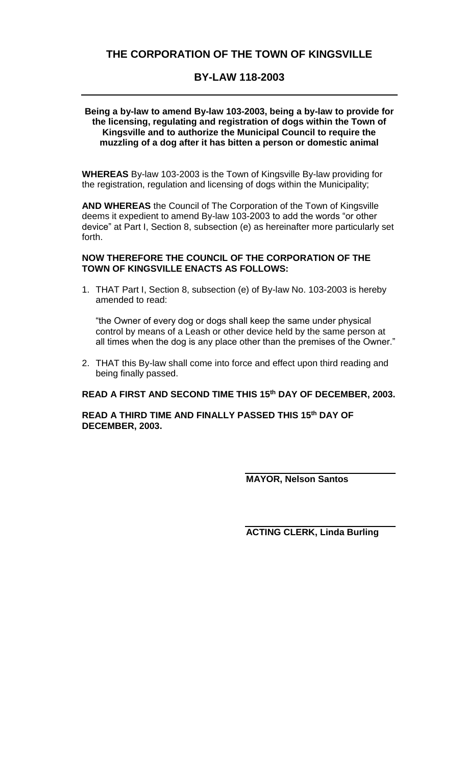# **BY-LAW 118-2003**

### **Being a by-law to amend By-law 103-2003, being a by-law to provide for the licensing, regulating and registration of dogs within the Town of Kingsville and to authorize the Municipal Council to require the muzzling of a dog after it has bitten a person or domestic animal**

**WHEREAS** By-law 103-2003 is the Town of Kingsville By-law providing for the registration, regulation and licensing of dogs within the Municipality;

**AND WHEREAS** the Council of The Corporation of the Town of Kingsville deems it expedient to amend By-law 103-2003 to add the words "or other device" at Part I, Section 8, subsection (e) as hereinafter more particularly set forth.

### **NOW THEREFORE THE COUNCIL OF THE CORPORATION OF THE TOWN OF KINGSVILLE ENACTS AS FOLLOWS:**

1. THAT Part I, Section 8, subsection (e) of By-law No. 103-2003 is hereby amended to read:

"the Owner of every dog or dogs shall keep the same under physical control by means of a Leash or other device held by the same person at all times when the dog is any place other than the premises of the Owner."

2. THAT this By-law shall come into force and effect upon third reading and being finally passed.

## **READ A FIRST AND SECOND TIME THIS 15th DAY OF DECEMBER, 2003.**

**READ A THIRD TIME AND FINALLY PASSED THIS 15th DAY OF DECEMBER, 2003.**

**MAYOR, Nelson Santos**

**ACTING CLERK, Linda Burling**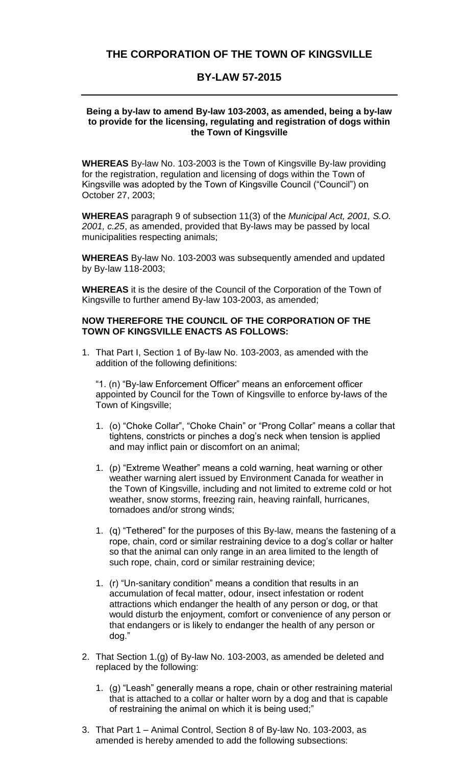# **THE CORPORATION OF THE TOWN OF KINGSVILLE**

## **BY-LAW 57-2015**

### **Being a by-law to amend By-law 103-2003, as amended, being a by-law to provide for the licensing, regulating and registration of dogs within the Town of Kingsville**

**WHEREAS** By-law No. 103-2003 is the Town of Kingsville By-law providing for the registration, regulation and licensing of dogs within the Town of Kingsville was adopted by the Town of Kingsville Council ("Council") on October 27, 2003;

**WHEREAS** paragraph 9 of subsection 11(3) of the *Municipal Act, 2001, S.O. 2001, c.25*, as amended, provided that By-laws may be passed by local municipalities respecting animals;

**WHEREAS** By-law No. 103-2003 was subsequently amended and updated by By-law 118-2003;

**WHEREAS** it is the desire of the Council of the Corporation of the Town of Kingsville to further amend By-law 103-2003, as amended;

#### **NOW THEREFORE THE COUNCIL OF THE CORPORATION OF THE TOWN OF KINGSVILLE ENACTS AS FOLLOWS:**

1. That Part I, Section 1 of By-law No. 103-2003, as amended with the addition of the following definitions:

"1. (n) "By-law Enforcement Officer" means an enforcement officer appointed by Council for the Town of Kingsville to enforce by-laws of the Town of Kingsville;

- 1. (o) "Choke Collar", "Choke Chain" or "Prong Collar" means a collar that tightens, constricts or pinches a dog's neck when tension is applied and may inflict pain or discomfort on an animal;
- 1. (p) "Extreme Weather" means a cold warning, heat warning or other weather warning alert issued by Environment Canada for weather in the Town of Kingsville, including and not limited to extreme cold or hot weather, snow storms, freezing rain, heaving rainfall, hurricanes, tornadoes and/or strong winds;
- 1. (q) "Tethered" for the purposes of this By-law, means the fastening of a rope, chain, cord or similar restraining device to a dog's collar or halter so that the animal can only range in an area limited to the length of such rope, chain, cord or similar restraining device;
- 1. (r) "Un-sanitary condition" means a condition that results in an accumulation of fecal matter, odour, insect infestation or rodent attractions which endanger the health of any person or dog, or that would disturb the enjoyment, comfort or convenience of any person or that endangers or is likely to endanger the health of any person or dog."
- 2. That Section 1.(g) of By-law No. 103-2003, as amended be deleted and replaced by the following:
	- 1. (g) "Leash" generally means a rope, chain or other restraining material that is attached to a collar or halter worn by a dog and that is capable of restraining the animal on which it is being used;"
- 3. That Part 1 Animal Control, Section 8 of By-law No. 103-2003, as amended is hereby amended to add the following subsections: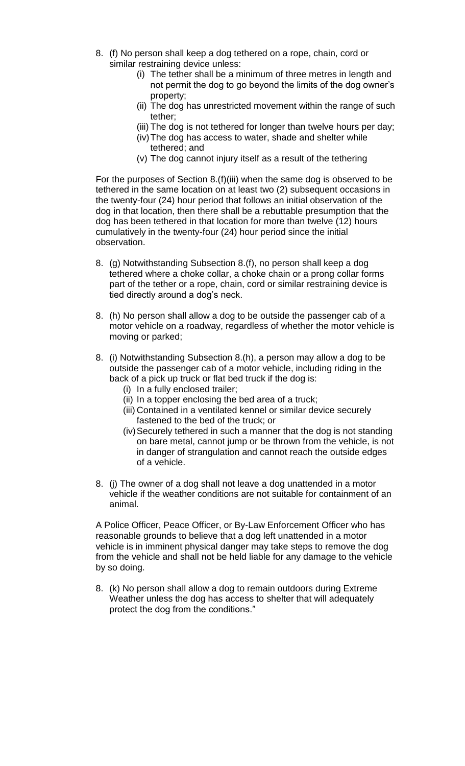- 8. (f) No person shall keep a dog tethered on a rope, chain, cord or similar restraining device unless:
	- (i) The tether shall be a minimum of three metres in length and not permit the dog to go beyond the limits of the dog owner's property;
	- (ii) The dog has unrestricted movement within the range of such tether;
	- (iii) The dog is not tethered for longer than twelve hours per day;
	- (iv)The dog has access to water, shade and shelter while tethered; and
	- (v) The dog cannot injury itself as a result of the tethering

For the purposes of Section 8.(f)(iii) when the same dog is observed to be tethered in the same location on at least two (2) subsequent occasions in the twenty-four (24) hour period that follows an initial observation of the dog in that location, then there shall be a rebuttable presumption that the dog has been tethered in that location for more than twelve (12) hours cumulatively in the twenty-four (24) hour period since the initial observation.

- 8. (g) Notwithstanding Subsection 8.(f), no person shall keep a dog tethered where a choke collar, a choke chain or a prong collar forms part of the tether or a rope, chain, cord or similar restraining device is tied directly around a dog's neck.
- 8. (h) No person shall allow a dog to be outside the passenger cab of a motor vehicle on a roadway, regardless of whether the motor vehicle is moving or parked;
- 8. (i) Notwithstanding Subsection 8.(h), a person may allow a dog to be outside the passenger cab of a motor vehicle, including riding in the back of a pick up truck or flat bed truck if the dog is:
	- (i) In a fully enclosed trailer;
	- (ii) In a topper enclosing the bed area of a truck;
	- (iii) Contained in a ventilated kennel or similar device securely fastened to the bed of the truck; or
	- (iv)Securely tethered in such a manner that the dog is not standing on bare metal, cannot jump or be thrown from the vehicle, is not in danger of strangulation and cannot reach the outside edges of a vehicle.
- 8. (j) The owner of a dog shall not leave a dog unattended in a motor vehicle if the weather conditions are not suitable for containment of an animal.

A Police Officer, Peace Officer, or By-Law Enforcement Officer who has reasonable grounds to believe that a dog left unattended in a motor vehicle is in imminent physical danger may take steps to remove the dog from the vehicle and shall not be held liable for any damage to the vehicle by so doing.

8. (k) No person shall allow a dog to remain outdoors during Extreme Weather unless the dog has access to shelter that will adequately protect the dog from the conditions."